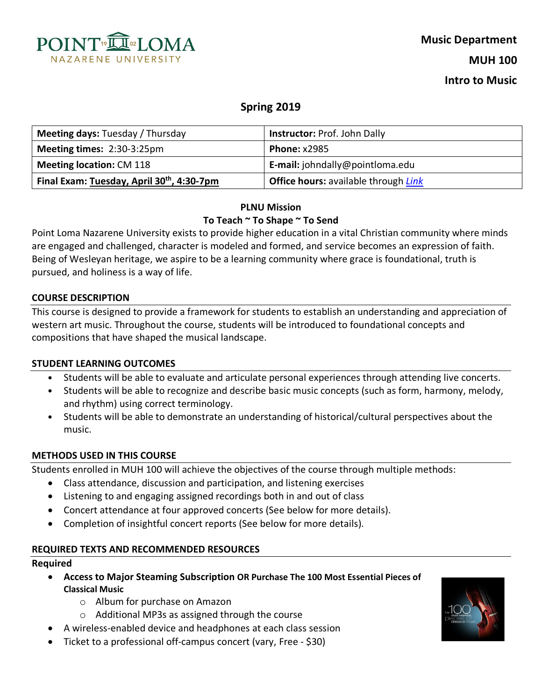

# **Spring 2019**

| <b>Meeting days: Tuesday / Thursday</b>                | <b>Instructor: Prof. John Dally</b>         |  |
|--------------------------------------------------------|---------------------------------------------|--|
| Meeting times: 2:30-3:25pm                             | <b>Phone: x2985</b>                         |  |
| <b>Meeting location: CM 118</b>                        | E-mail: johndally@pointloma.edu             |  |
| Final Exam: Tuesday, April 30 <sup>th</sup> , 4:30-7pm | <b>Office hours:</b> available through Link |  |

# **PLNU Mission To Teach ~ To Shape ~ To Send**

Point Loma Nazarene University exists to provide higher education in a vital Christian community where minds are engaged and challenged, character is modeled and formed, and service becomes an expression of faith. Being of Wesleyan heritage, we aspire to be a learning community where grace is foundational, truth is pursued, and holiness is a way of life.

### **COURSE DESCRIPTION**

This course is designed to provide a framework for students to establish an understanding and appreciation of western art music. Throughout the course, students will be introduced to foundational concepts and compositions that have shaped the musical landscape.

### **STUDENT LEARNING OUTCOMES**

- Students will be able to evaluate and articulate personal experiences through attending live concerts.
- Students will be able to recognize and describe basic music concepts (such as form, harmony, melody, and rhythm) using correct terminology.
- Students will be able to demonstrate an understanding of historical/cultural perspectives about the music.

### **METHODS USED IN THIS COURSE**

Students enrolled in MUH 100 will achieve the objectives of the course through multiple methods:

- Class attendance, discussion and participation, and listening exercises
- Listening to and engaging assigned recordings both in and out of class
- Concert attendance at four approved concerts (See below for more details).
- Completion of insightful concert reports (See below for more details).

# **REQUIRED TEXTS AND RECOMMENDED RESOURCES**

#### **Required**

- **Access to Major Steaming Subscription OR Purchase The 100 Most Essential Pieces of Classical Music** 
	- o Album for purchase on Amazon
	- o Additional MP3s as assigned through the course
- A wireless-enabled device and headphones at each class session
- Ticket to a professional off-campus concert (vary, Free \$30)

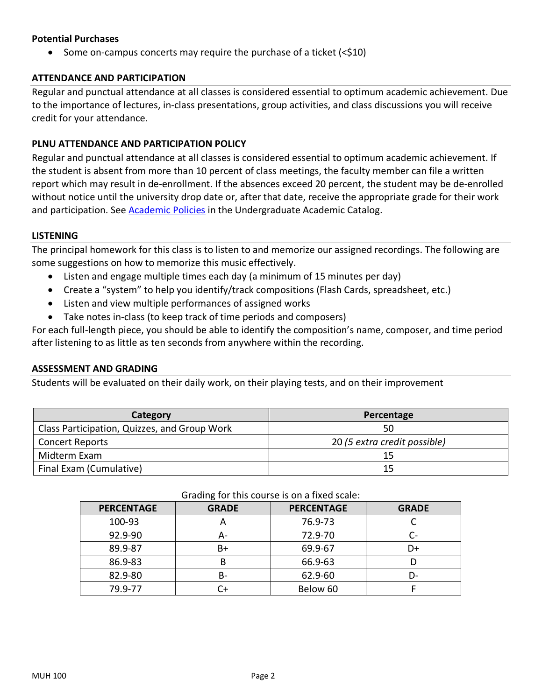# **Potential Purchases**

• Some on-campus concerts may require the purchase of a ticket  $\langle$  < \$10)

# **ATTENDANCE AND PARTICIPATION**

Regular and punctual attendance at all classes is considered essential to optimum academic achievement. Due to the importance of lectures, in-class presentations, group activities, and class discussions you will receive credit for your attendance.

# **PLNU ATTENDANCE AND PARTICIPATION POLICY**

Regular and punctual attendance at all classes is considered essential to optimum academic achievement. If the student is absent from more than 10 percent of class meetings, the faculty member can file a written report which may result in de-enrollment. If the absences exceed 20 percent, the student may be de-enrolled without notice until the university drop date or, after that date, receive the appropriate grade for their work and participation. See Academic Policies in the Undergraduate Academic Catalog.

### **LISTENING**

The principal homework for this class is to listen to and memorize our assigned recordings. The following are some suggestions on how to memorize this music effectively.

- Listen and engage multiple times each day (a minimum of 15 minutes per day)
- Create a "system" to help you identify/track compositions (Flash Cards, spreadsheet, etc.)
- Listen and view multiple performances of assigned works
- Take notes in-class (to keep track of time periods and composers)

For each full-length piece, you should be able to identify the composition's name, composer, and time period after listening to as little as ten seconds from anywhere within the recording.

### **ASSESSMENT AND GRADING**

Students will be evaluated on their daily work, on their playing tests, and on their improvement

| Category                                     | Percentage                   |  |
|----------------------------------------------|------------------------------|--|
| Class Participation, Quizzes, and Group Work | 50                           |  |
| <b>Concert Reports</b>                       | 20 (5 extra credit possible) |  |
| Midterm Exam                                 | 15                           |  |
| Final Exam (Cumulative)                      | 15                           |  |

#### Grading for this course is on a fixed scale:

| Grading for this course is on a fixed scale. |              |                   |              |  |
|----------------------------------------------|--------------|-------------------|--------------|--|
| <b>PERCENTAGE</b>                            | <b>GRADE</b> | <b>PERCENTAGE</b> | <b>GRADE</b> |  |
| 100-93                                       | Α            | 76.9-73           |              |  |
| 92.9-90                                      | А-           | 72.9-70           | r-           |  |
| 89.9-87                                      | B+           | 69.9-67           | D+           |  |
| 86.9-83                                      | В            | 66.9-63           |              |  |
| 82.9-80                                      | B-           | 62.9-60           | D-           |  |
| 79.9-77                                      | C+           | Below 60          |              |  |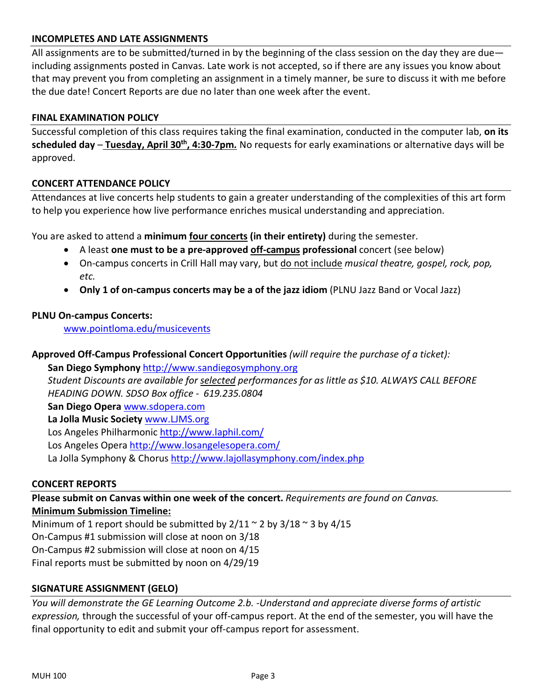# **INCOMPLETES AND LATE ASSIGNMENTS**

All assignments are to be submitted/turned in by the beginning of the class session on the day they are due including assignments posted in Canvas. Late work is not accepted, so if there are any issues you know about that may prevent you from completing an assignment in a timely manner, be sure to discuss it with me before the due date! Concert Reports are due no later than one week after the event.

# **FINAL EXAMINATION POLICY**

Successful completion of this class requires taking the final examination, conducted in the computer lab, **on its scheduled day** – **Tuesday, April 30th, 4:30-7pm***.* No requests for early examinations or alternative days will be approved.

#### **CONCERT ATTENDANCE POLICY**

Attendances at live concerts help students to gain a greater understanding of the complexities of this art form to help you experience how live performance enriches musical understanding and appreciation.

You are asked to attend a **minimum four concerts (in their entirety)** during the semester.

- A least **one must to be a pre-approved off-campus professional** concert (see below)
- On-campus concerts in Crill Hall may vary, but do not include *musical theatre, gospel, rock, pop, etc.*
- **Only 1 of on-campus concerts may be a of the jazz idiom** (PLNU Jazz Band or Vocal Jazz)

#### **PLNU On-campus Concerts:**

www.pointloma.edu/musicevents

**Approved Off-Campus Professional Concert Opportunities** *(will require the purchase of a ticket):*

**San Diego Symphony** http://www.sandiegosymphony.org *Student Discounts are available for selected performances for as little as \$10. ALWAYS CALL BEFORE HEADING DOWN. SDSO Box office - 619.235.0804* **San Diego Opera** www.sdopera.com **La Jolla Music Society** www.LJMS.org Los Angeles Philharmonic http://www.laphil.com/ Los Angeles Opera http://www.losangelesopera.com/ La Jolla Symphony & Chorus http://www.lajollasymphony.com/index.php

#### **CONCERT REPORTS**

**Please submit on Canvas within one week of the concert.** *Requirements are found on Canvas.*  **Minimum Submission Timeline:** 

Minimum of 1 report should be submitted by  $2/11 \approx 2$  by  $3/18 \approx 3$  by  $4/15$ On-Campus #1 submission will close at noon on 3/18 On-Campus #2 submission will close at noon on 4/15 Final reports must be submitted by noon on 4/29/19

### **SIGNATURE ASSIGNMENT (GELO)**

*You will demonstrate the GE Learning Outcome 2.b. -Understand and appreciate diverse forms of artistic expression,* through the successful of your off-campus report. At the end of the semester, you will have the final opportunity to edit and submit your off-campus report for assessment.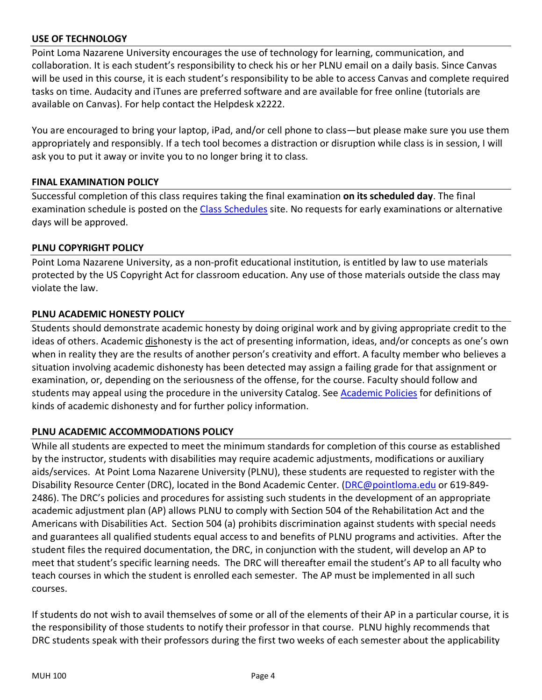# **USE OF TECHNOLOGY**

Point Loma Nazarene University encourages the use of technology for learning, communication, and collaboration. It is each student's responsibility to check his or her PLNU email on a daily basis. Since Canvas will be used in this course, it is each student's responsibility to be able to access Canvas and complete required tasks on time. Audacity and iTunes are preferred software and are available for free online (tutorials are available on Canvas). For help contact the Helpdesk x2222.

You are encouraged to bring your laptop, iPad, and/or cell phone to class—but please make sure you use them appropriately and responsibly. If a tech tool becomes a distraction or disruption while class is in session, I will ask you to put it away or invite you to no longer bring it to class.

# **FINAL EXAMINATION POLICY**

Successful completion of this class requires taking the final examination **on its scheduled day**. The final examination schedule is posted on the Class Schedules site. No requests for early examinations or alternative days will be approved.

# **PLNU COPYRIGHT POLICY**

Point Loma Nazarene University, as a non-profit educational institution, is entitled by law to use materials protected by the US Copyright Act for classroom education. Any use of those materials outside the class may violate the law.

# **PLNU ACADEMIC HONESTY POLICY**

Students should demonstrate academic honesty by doing original work and by giving appropriate credit to the ideas of others. Academic dishonesty is the act of presenting information, ideas, and/or concepts as one's own when in reality they are the results of another person's creativity and effort. A faculty member who believes a situation involving academic dishonesty has been detected may assign a failing grade for that assignment or examination, or, depending on the seriousness of the offense, for the course. Faculty should follow and students may appeal using the procedure in the university Catalog. See Academic Policies for definitions of kinds of academic dishonesty and for further policy information.

# **PLNU ACADEMIC ACCOMMODATIONS POLICY**

While all students are expected to meet the minimum standards for completion of this course as established by the instructor, students with disabilities may require academic adjustments, modifications or auxiliary aids/services. At Point Loma Nazarene University (PLNU), these students are requested to register with the Disability Resource Center (DRC), located in the Bond Academic Center. (DRC@pointloma.edu or 619-849-2486). The DRC's policies and procedures for assisting such students in the development of an appropriate academic adjustment plan (AP) allows PLNU to comply with Section 504 of the Rehabilitation Act and the Americans with Disabilities Act. Section 504 (a) prohibits discrimination against students with special needs and guarantees all qualified students equal access to and benefits of PLNU programs and activities. After the student files the required documentation, the DRC, in conjunction with the student, will develop an AP to meet that student's specific learning needs. The DRC will thereafter email the student's AP to all faculty who teach courses in which the student is enrolled each semester. The AP must be implemented in all such courses.

If students do not wish to avail themselves of some or all of the elements of their AP in a particular course, it is the responsibility of those students to notify their professor in that course. PLNU highly recommends that DRC students speak with their professors during the first two weeks of each semester about the applicability